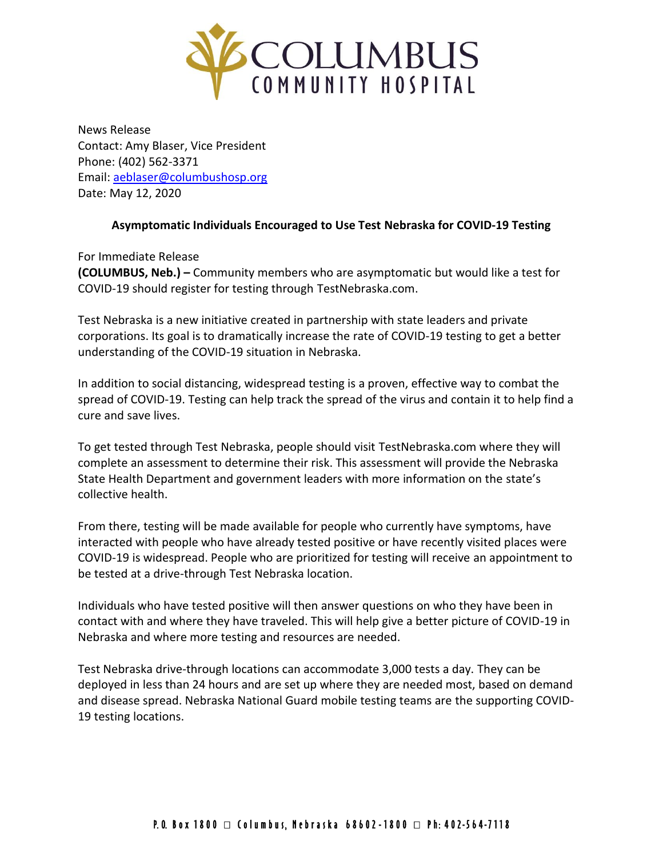

News Release Contact: Amy Blaser, Vice President Phone: (402) 562-3371 Email: [aeblaser@columbushosp.org](mailto:aeblaser@columbushosp.org) Date: May 12, 2020

## **Asymptomatic Individuals Encouraged to Use Test Nebraska for COVID-19 Testing**

For Immediate Release **(COLUMBUS, Neb.) –** Community members who are asymptomatic but would like a test for COVID-19 should register for testing through TestNebraska.com.

Test Nebraska is a new initiative created in partnership with state leaders and private corporations. Its goal is to dramatically increase the rate of COVID-19 testing to get a better understanding of the COVID-19 situation in Nebraska.

In addition to social distancing, widespread testing is a proven, effective way to combat the spread of COVID-19. Testing can help track the spread of the virus and contain it to help find a cure and save lives.

To get tested through Test Nebraska, people should visit TestNebraska.com where they will complete an assessment to determine their risk. This assessment will provide the Nebraska State Health Department and government leaders with more information on the state's collective health.

From there, testing will be made available for people who currently have symptoms, have interacted with people who have already tested positive or have recently visited places were COVID-19 is widespread. People who are prioritized for testing will receive an appointment to be tested at a drive-through Test Nebraska location.

Individuals who have tested positive will then answer questions on who they have been in contact with and where they have traveled. This will help give a better picture of COVID-19 in Nebraska and where more testing and resources are needed.

Test Nebraska drive-through locations can accommodate 3,000 tests a day. They can be deployed in less than 24 hours and are set up where they are needed most, based on demand and disease spread. Nebraska National Guard mobile testing teams are the supporting COVID-19 testing locations.